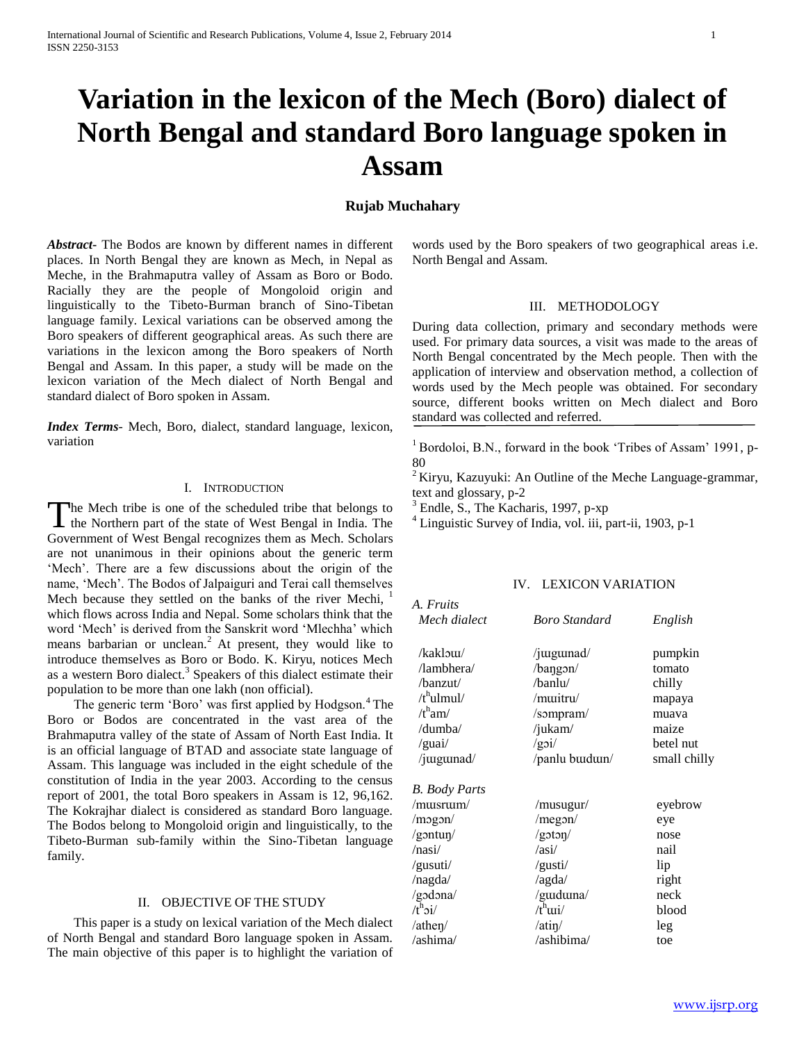# **Variation in the lexicon of the Mech (Boro) dialect of North Bengal and standard Boro language spoken in Assam**

## **Rujab Muchahary**

*Abstract***-** The Bodos are known by different names in different places. In North Bengal they are known as Mech, in Nepal as Meche, in the Brahmaputra valley of Assam as Boro or Bodo. Racially they are the people of Mongoloid origin and linguistically to the Tibeto-Burman branch of Sino-Tibetan language family. Lexical variations can be observed among the Boro speakers of different geographical areas. As such there are variations in the lexicon among the Boro speakers of North Bengal and Assam. In this paper, a study will be made on the lexicon variation of the Mech dialect of North Bengal and standard dialect of Boro spoken in Assam.

*Index Terms*- Mech, Boro, dialect, standard language, lexicon, variation

## I. INTRODUCTION

The Mech tribe is one of the scheduled tribe that belongs to The Mech tribe is one of the scheduled tribe that belongs to the Northern part of the state of West Bengal in India. The Government of West Bengal recognizes them as Mech. Scholars are not unanimous in their opinions about the generic term 'Mech'. There are a few discussions about the origin of the name, 'Mech'. The Bodos of Jalpaiguri and Terai call themselves Mech because they settled on the banks of the river Mechi, which flows across India and Nepal. Some scholars think that the word 'Mech' is derived from the Sanskrit word 'Mlechha' which means barbarian or unclean.<sup>2</sup> At present, they would like to introduce themselves as Boro or Bodo. K. Kiryu, notices Mech as a western Boro dialect.<sup>3</sup> Speakers of this dialect estimate their population to be more than one lakh (non official).

The generic term 'Boro' was first applied by Hodgson.<sup>4</sup> The Boro or Bodos are concentrated in the vast area of the Brahmaputra valley of the state of Assam of North East India. It is an official language of BTAD and associate state language of Assam. This language was included in the eight schedule of the constitution of India in the year 2003. According to the census report of 2001, the total Boro speakers in Assam is 12, 96,162. The Kokrajhar dialect is considered as standard Boro language. The Bodos belong to Mongoloid origin and linguistically, to the Tibeto-Burman sub-family within the Sino-Tibetan language family.

#### II. OBJECTIVE OF THE STUDY

 This paper is a study on lexical variation of the Mech dialect of North Bengal and standard Boro language spoken in Assam. The main objective of this paper is to highlight the variation of

words used by the Boro speakers of two geographical areas i.e. North Bengal and Assam.

#### III. METHODOLOGY

During data collection, primary and secondary methods were used. For primary data sources, a visit was made to the areas of North Bengal concentrated by the Mech people. Then with the application of interview and observation method, a collection of words used by the Mech people was obtained. For secondary source, different books written on Mech dialect and Boro standard was collected and referred.

<sup>1</sup> Bordoloi, B.N., forward in the book 'Tribes of Assam' 1991, p-80

 $2$ Kiryu, Kazuyuki: An Outline of the Meche Language-grammar, text and glossary, p-2

 $3$  Endle, S., The Kacharis, 1997, p-xp

<sup>4</sup> Linguistic Survey of India, vol. iii, part-ii, 1903, p-1

## IV. LEXICON VARIATION

| A. Fruits                   |                      |                    |  |
|-----------------------------|----------------------|--------------------|--|
| Mech dialect                | <b>Boro Standard</b> | English<br>pumpkin |  |
| /kaklow/                    | /juigumad/           |                    |  |
| /lambhera/                  | /bangon/             | tomato             |  |
| /banzut/                    | /banlu/              | chilly             |  |
| /t <sup>h</sup> ulmul/      | /muitru/             | mapaya             |  |
| $/t^{\rm h}$ am/            | /sompram/            | muava              |  |
| /dumba/                     | /jukam/              | maize              |  |
| /guai/                      | /goi/                | betel nut          |  |
| /juiguinad/                 | /panlu buidun/       | small chilly       |  |
| <b>B.</b> Body Parts        |                      |                    |  |
| /musrum/                    | /musugur/            | eyebrow            |  |
| /mogon/                     | $/$ megon $/$        | eye                |  |
| /gontun/                    | /goton/              | nose               |  |
| /nasi/                      | /asi/                | nail               |  |
| /gusuti/                    | /gusti/              | lip                |  |
| /nagda/                     | /agda/               | right              |  |
| /godona/                    | /guiduna/            | neck               |  |
| $/t^{\rm h}$ $\dot{\rm j}/$ | /t <sup>h</sup> wi/  | blood              |  |
| /athen/                     | /ain/                | leg                |  |
| /ashima/                    | /ashibima/           | toe                |  |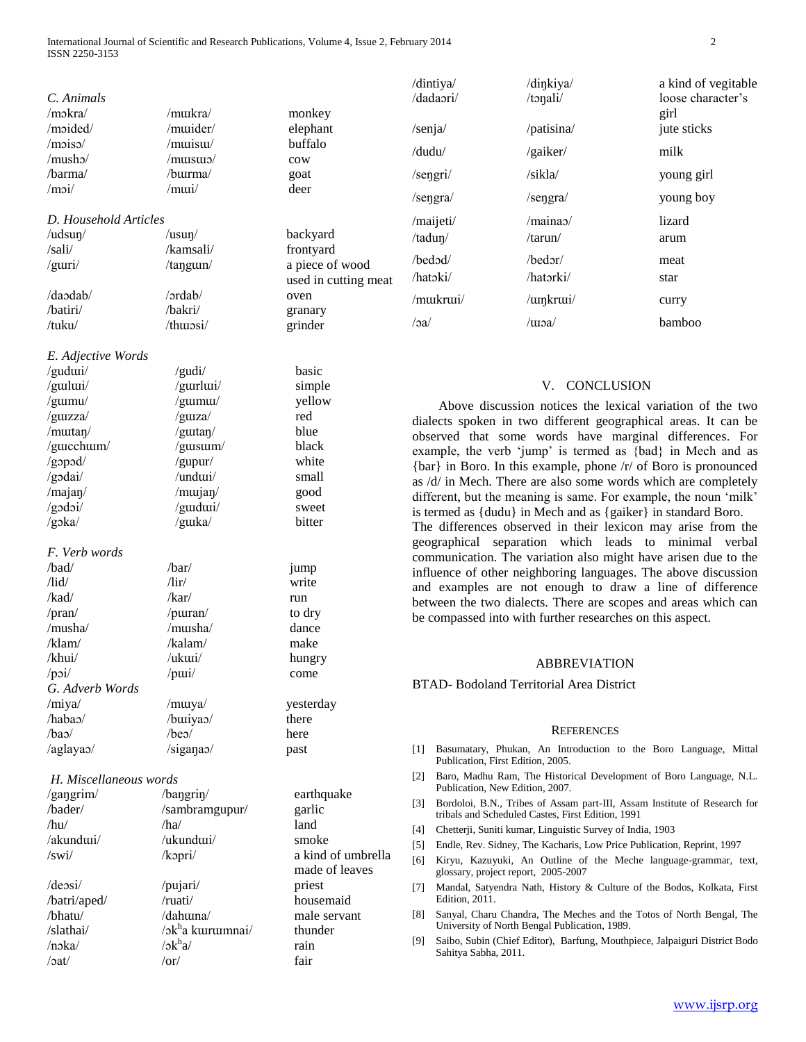|                                 |                                 |                                         | /dintiya/                                                                                                                                                                                                                                                                                                                                                                                                                                                         | /dinkiya/                                                                                               | a kind of vegitable                                                  |  |
|---------------------------------|---------------------------------|-----------------------------------------|-------------------------------------------------------------------------------------------------------------------------------------------------------------------------------------------------------------------------------------------------------------------------------------------------------------------------------------------------------------------------------------------------------------------------------------------------------------------|---------------------------------------------------------------------------------------------------------|----------------------------------------------------------------------|--|
| C. Animals                      |                                 |                                         | /dadaori/                                                                                                                                                                                                                                                                                                                                                                                                                                                         | /tonali/                                                                                                | loose character's                                                    |  |
| /mokra/                         | /mukra/                         | monkey                                  |                                                                                                                                                                                                                                                                                                                                                                                                                                                                   |                                                                                                         | girl                                                                 |  |
| /moided/                        | /muider/                        | elephant                                | /senja/                                                                                                                                                                                                                                                                                                                                                                                                                                                           | /patisina/                                                                                              | jute sticks                                                          |  |
| /mois <sub>o</sub>              | /muisul/                        | buffalo                                 | /dudu/                                                                                                                                                                                                                                                                                                                                                                                                                                                            |                                                                                                         | milk                                                                 |  |
| /musho/                         | /musus/                         | cow                                     |                                                                                                                                                                                                                                                                                                                                                                                                                                                                   | /gaiker/                                                                                                |                                                                      |  |
| /barma/                         | /burma/                         | goat                                    | /sengri/                                                                                                                                                                                                                                                                                                                                                                                                                                                          | /sikla/                                                                                                 | young girl                                                           |  |
| /moi/                           | /mui/                           | deer                                    | /sengra/                                                                                                                                                                                                                                                                                                                                                                                                                                                          | /sengra/                                                                                                | young boy                                                            |  |
|                                 |                                 |                                         |                                                                                                                                                                                                                                                                                                                                                                                                                                                                   |                                                                                                         |                                                                      |  |
| D. Household Articles           |                                 |                                         | /maijeti/                                                                                                                                                                                                                                                                                                                                                                                                                                                         | $/$ maina $\alpha$                                                                                      | lizard                                                               |  |
| /udsun/                         | /usun/                          | backyard                                | /tadun/                                                                                                                                                                                                                                                                                                                                                                                                                                                           | /tarun/                                                                                                 | arum                                                                 |  |
| /sali/                          | /kamsali/                       | frontyard                               | /bedod/                                                                                                                                                                                                                                                                                                                                                                                                                                                           | /bedor/                                                                                                 | meat                                                                 |  |
| /guri/                          | /tangun/                        | a piece of wood<br>used in cutting meat | /hatoki/                                                                                                                                                                                                                                                                                                                                                                                                                                                          | /hatorki/                                                                                               | star                                                                 |  |
| /daodab/                        | /ordab/                         | oven                                    |                                                                                                                                                                                                                                                                                                                                                                                                                                                                   |                                                                                                         |                                                                      |  |
| /batiri/                        | /bakri/                         |                                         | /mukrui/                                                                                                                                                                                                                                                                                                                                                                                                                                                          | /winkrwi/                                                                                               | curry                                                                |  |
| /tuku/                          | /thuiosi/                       | granary<br>grinder                      | /3a/                                                                                                                                                                                                                                                                                                                                                                                                                                                              | /woa/                                                                                                   | bamboo                                                               |  |
|                                 |                                 |                                         |                                                                                                                                                                                                                                                                                                                                                                                                                                                                   |                                                                                                         |                                                                      |  |
| E. Adjective Words              |                                 |                                         |                                                                                                                                                                                                                                                                                                                                                                                                                                                                   |                                                                                                         |                                                                      |  |
| /gudui/                         | /gudi/                          | basic                                   |                                                                                                                                                                                                                                                                                                                                                                                                                                                                   |                                                                                                         |                                                                      |  |
| /guilui/                        | /gurlui/                        | simple                                  | <b>CONCLUSION</b><br>V.                                                                                                                                                                                                                                                                                                                                                                                                                                           |                                                                                                         |                                                                      |  |
| /gumu/                          | /gumu/                          | yellow                                  | Above discussion notices the lexical variation of the two                                                                                                                                                                                                                                                                                                                                                                                                         |                                                                                                         |                                                                      |  |
| /guizza/                        | /guza/                          | red                                     |                                                                                                                                                                                                                                                                                                                                                                                                                                                                   |                                                                                                         |                                                                      |  |
| /mutan/                         | /gutan/                         | blue                                    | dialects spoken in two different geographical areas. It can be<br>observed that some words have marginal differences. For<br>example, the verb 'jump' is termed as {bad} in Mech and as<br>{bar} in Boro. In this example, phone /r/ of Boro is pronounced<br>as /d/ in Mech. There are also some words which are completely<br>different, but the meaning is same. For example, the noun 'milk'<br>is termed as {dudu} in Mech and as {gaiker} in standard Boro. |                                                                                                         |                                                                      |  |
| /gucchum/                       | /gusum/                         | black                                   |                                                                                                                                                                                                                                                                                                                                                                                                                                                                   |                                                                                                         |                                                                      |  |
| /gopod/                         | /gupur/                         | white                                   |                                                                                                                                                                                                                                                                                                                                                                                                                                                                   |                                                                                                         |                                                                      |  |
| /godai/                         | /undui/                         | small                                   |                                                                                                                                                                                                                                                                                                                                                                                                                                                                   |                                                                                                         |                                                                      |  |
| /majan/                         | /murjan/                        | good                                    |                                                                                                                                                                                                                                                                                                                                                                                                                                                                   |                                                                                                         |                                                                      |  |
| $/g$ odoi/                      | /guidui/                        | sweet                                   |                                                                                                                                                                                                                                                                                                                                                                                                                                                                   |                                                                                                         |                                                                      |  |
| $/g$ <sub>2</sub> ka/           | /guka/                          | bitter                                  | The differences observed in their lexicon may arise from the                                                                                                                                                                                                                                                                                                                                                                                                      |                                                                                                         |                                                                      |  |
|                                 |                                 |                                         |                                                                                                                                                                                                                                                                                                                                                                                                                                                                   | geographical separation which leads to minimal verbal                                                   |                                                                      |  |
| F. Verb words                   |                                 |                                         |                                                                                                                                                                                                                                                                                                                                                                                                                                                                   | communication. The variation also might have arisen due to the                                          |                                                                      |  |
| /bad/                           | /bar/                           | jump                                    | influence of other neighboring languages. The above discussion<br>and examples are not enough to draw a line of difference                                                                                                                                                                                                                                                                                                                                        |                                                                                                         |                                                                      |  |
| $\frac{1}{d}$                   | $/$ lir $/$                     | write                                   |                                                                                                                                                                                                                                                                                                                                                                                                                                                                   |                                                                                                         |                                                                      |  |
| /kad/                           | /kar/                           | run                                     |                                                                                                                                                                                                                                                                                                                                                                                                                                                                   | between the two dialects. There are scopes and areas which can                                          |                                                                      |  |
| /pran/                          | /purran/                        | to dry                                  |                                                                                                                                                                                                                                                                                                                                                                                                                                                                   | be compassed into with further researches on this aspect.                                               |                                                                      |  |
| /musha/                         | /musha/                         | dance                                   |                                                                                                                                                                                                                                                                                                                                                                                                                                                                   |                                                                                                         |                                                                      |  |
| /klam/                          | /kalam/                         | make                                    |                                                                                                                                                                                                                                                                                                                                                                                                                                                                   |                                                                                                         |                                                                      |  |
| /khui/                          | /ukui/                          | hungry                                  |                                                                                                                                                                                                                                                                                                                                                                                                                                                                   | <b>ABBREVIATION</b>                                                                                     |                                                                      |  |
| $\gamma$ poi $\gamma$           | $/$ pui $/$                     | come                                    |                                                                                                                                                                                                                                                                                                                                                                                                                                                                   |                                                                                                         |                                                                      |  |
| G. Adverb Words                 |                                 |                                         |                                                                                                                                                                                                                                                                                                                                                                                                                                                                   | BTAD- Bodoland Territorial Area District                                                                |                                                                      |  |
| /miya/                          | /murya/                         | yesterday                               |                                                                                                                                                                                                                                                                                                                                                                                                                                                                   |                                                                                                         |                                                                      |  |
| /habao/                         | /buiyao/                        | there                                   |                                                                                                                                                                                                                                                                                                                                                                                                                                                                   |                                                                                                         |                                                                      |  |
| $/ba$ <sup><math>/</math></sup> | $/be$ <sup><math>/</math></sup> | here                                    |                                                                                                                                                                                                                                                                                                                                                                                                                                                                   | <b>REFERENCES</b>                                                                                       |                                                                      |  |
| /aglayao/                       | /sigana <sub>0</sub>            | past                                    | 1                                                                                                                                                                                                                                                                                                                                                                                                                                                                 | Basumatary, Phukan, An Introduction to the Boro Language, Mittal<br>Publication, First Edition, 2005.   |                                                                      |  |
| H. Miscellaneous words          |                                 |                                         | 2                                                                                                                                                                                                                                                                                                                                                                                                                                                                 | Baro, Madhu Ram, The Historical Development of Boro Language, N.L.<br>Publication, New Edition, 2007.   |                                                                      |  |
| /gangrim/                       | $/b$ angrin $/$                 | earthquake                              | 3                                                                                                                                                                                                                                                                                                                                                                                                                                                                 | Bordoloi, B.N., Tribes of Assam part-III, Assam Institute of Research for                               |                                                                      |  |
| /bader/                         | /sambramgupur/                  | garlic                                  |                                                                                                                                                                                                                                                                                                                                                                                                                                                                   | tribals and Scheduled Castes, First Edition, 1991                                                       |                                                                      |  |
| /hu/                            | /ha/                            | land                                    | $[4]$                                                                                                                                                                                                                                                                                                                                                                                                                                                             | Chetterji, Suniti kumar, Linguistic Survey of India, 1903                                               |                                                                      |  |
| /akundui/                       | /ukundui/                       | smoke                                   | $[5]$                                                                                                                                                                                                                                                                                                                                                                                                                                                             | Endle, Rev. Sidney, The Kacharis, Low Price Publication, Reprint, 1997                                  |                                                                      |  |
| /swi/                           | /kopri/                         | a kind of umbrella<br>made of leaves    | [6]                                                                                                                                                                                                                                                                                                                                                                                                                                                               | Kiryu, Kazuyuki, An Outline of the Meche language-grammar, text,<br>glossary, project report, 2005-2007 |                                                                      |  |
| $/$ deosi $/$                   | /pujari/                        | priest                                  | [7]                                                                                                                                                                                                                                                                                                                                                                                                                                                               | Mandal, Satyendra Nath, History & Culture of the Bodos, Kolkata, First                                  |                                                                      |  |
| /batri/aped/                    | /ruati/                         | housemaid                               | Edition, 2011.                                                                                                                                                                                                                                                                                                                                                                                                                                                    |                                                                                                         |                                                                      |  |
| /bhatu/                         |                                 | male servant                            | 181                                                                                                                                                                                                                                                                                                                                                                                                                                                               |                                                                                                         | Sanyal, Charu Chandra, The Meches and the Totos of North Bengal, The |  |
|                                 | /dahuma/                        |                                         |                                                                                                                                                                                                                                                                                                                                                                                                                                                                   |                                                                                                         |                                                                      |  |
| /slathai/                       | /ɔkha kurumnai/                 | thunder                                 |                                                                                                                                                                                                                                                                                                                                                                                                                                                                   | University of North Bengal Publication, 1989.                                                           |                                                                      |  |
| /noka/                          | $/$ o $k^h$ a $/$               | rain                                    | $[9]$                                                                                                                                                                                                                                                                                                                                                                                                                                                             | Saibo, Subin (Chief Editor), Barfung, Mouthpiece, Jalpaiguri District Bodo<br>Sahitya Sabha, 2011.      |                                                                      |  |